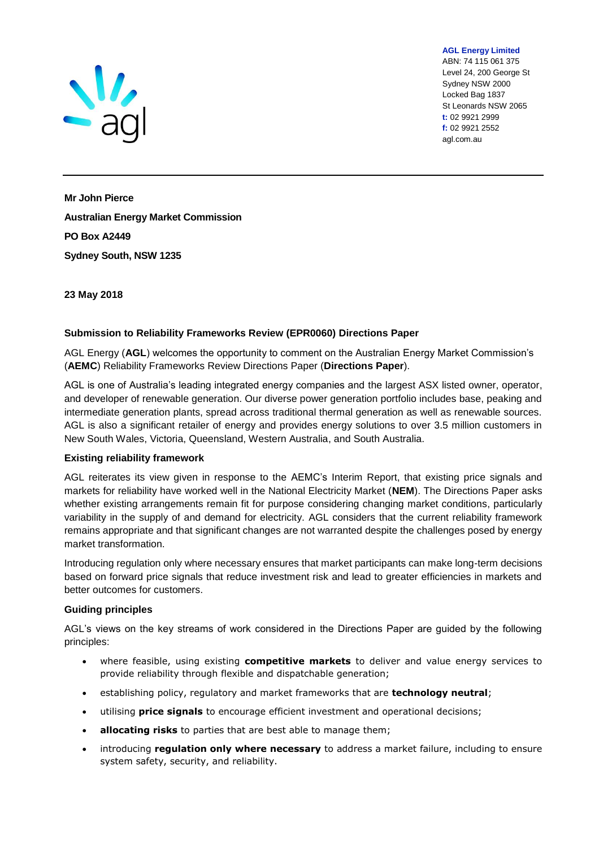

ABN: 74 115 061 375 Level 24, 200 George St Sydney NSW 2000 Locked Bag 1837 St Leonards NSW 2065 **t:** 02 9921 2999 **f:** 02 9921 2552 agl.com.au

**AGL Energy Limited**

**Mr John Pierce Australian Energy Market Commission PO Box A2449 Sydney South, NSW 1235**

**23 May 2018**

### **Submission to Reliability Frameworks Review (EPR0060) Directions Paper**

AGL Energy (**AGL**) welcomes the opportunity to comment on the Australian Energy Market Commission's (**AEMC**) Reliability Frameworks Review Directions Paper (**Directions Paper**).

AGL is one of Australia's leading integrated energy companies and the largest ASX listed owner, operator, and developer of renewable generation. Our diverse power generation portfolio includes base, peaking and intermediate generation plants, spread across traditional thermal generation as well as renewable sources. AGL is also a significant retailer of energy and provides energy solutions to over 3.5 million customers in New South Wales, Victoria, Queensland, Western Australia, and South Australia.

### **Existing reliability framework**

AGL reiterates its view given in response to the AEMC's Interim Report, that existing price signals and markets for reliability have worked well in the National Electricity Market (**NEM**). The Directions Paper asks whether existing arrangements remain fit for purpose considering changing market conditions, particularly variability in the supply of and demand for electricity. AGL considers that the current reliability framework remains appropriate and that significant changes are not warranted despite the challenges posed by energy market transformation.

Introducing regulation only where necessary ensures that market participants can make long-term decisions based on forward price signals that reduce investment risk and lead to greater efficiencies in markets and better outcomes for customers.

### **Guiding principles**

AGL's views on the key streams of work considered in the Directions Paper are guided by the following principles:

- where feasible, using existing **competitive markets** to deliver and value energy services to provide reliability through flexible and dispatchable generation;
- establishing policy, regulatory and market frameworks that are **technology neutral**;
- utilising **price signals** to encourage efficient investment and operational decisions;
- **allocating risks** to parties that are best able to manage them;
- introducing **regulation only where necessary** to address a market failure, including to ensure system safety, security, and reliability.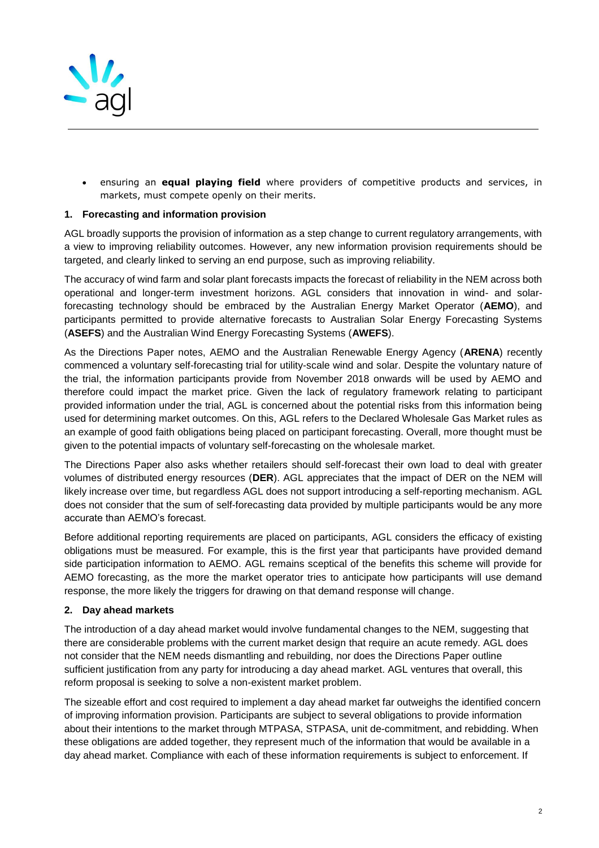

• ensuring an **equal playing field** where providers of competitive products and services, in markets, must compete openly on their merits.

# **1. Forecasting and information provision**

AGL broadly supports the provision of information as a step change to current regulatory arrangements, with a view to improving reliability outcomes. However, any new information provision requirements should be targeted, and clearly linked to serving an end purpose, such as improving reliability.

The accuracy of wind farm and solar plant forecasts impacts the forecast of reliability in the NEM across both operational and longer-term investment horizons. AGL considers that innovation in wind- and solarforecasting technology should be embraced by the Australian Energy Market Operator (**AEMO**), and participants permitted to provide alternative forecasts to Australian Solar Energy Forecasting Systems (**ASEFS**) and the Australian Wind Energy Forecasting Systems (**AWEFS**).

As the Directions Paper notes, AEMO and the Australian Renewable Energy Agency (**ARENA**) recently commenced a voluntary self-forecasting trial for utility-scale wind and solar. Despite the voluntary nature of the trial, the information participants provide from November 2018 onwards will be used by AEMO and therefore could impact the market price. Given the lack of regulatory framework relating to participant provided information under the trial, AGL is concerned about the potential risks from this information being used for determining market outcomes. On this, AGL refers to the Declared Wholesale Gas Market rules as an example of good faith obligations being placed on participant forecasting. Overall, more thought must be given to the potential impacts of voluntary self-forecasting on the wholesale market.

The Directions Paper also asks whether retailers should self-forecast their own load to deal with greater volumes of distributed energy resources (**DER**). AGL appreciates that the impact of DER on the NEM will likely increase over time, but regardless AGL does not support introducing a self-reporting mechanism. AGL does not consider that the sum of self-forecasting data provided by multiple participants would be any more accurate than AEMO's forecast.

Before additional reporting requirements are placed on participants, AGL considers the efficacy of existing obligations must be measured. For example, this is the first year that participants have provided demand side participation information to AEMO. AGL remains sceptical of the benefits this scheme will provide for AEMO forecasting, as the more the market operator tries to anticipate how participants will use demand response, the more likely the triggers for drawing on that demand response will change.

### **2. Day ahead markets**

The introduction of a day ahead market would involve fundamental changes to the NEM, suggesting that there are considerable problems with the current market design that require an acute remedy. AGL does not consider that the NEM needs dismantling and rebuilding, nor does the Directions Paper outline sufficient justification from any party for introducing a day ahead market. AGL ventures that overall, this reform proposal is seeking to solve a non-existent market problem.

The sizeable effort and cost required to implement a day ahead market far outweighs the identified concern of improving information provision. Participants are subject to several obligations to provide information about their intentions to the market through MTPASA, STPASA, unit de-commitment, and rebidding. When these obligations are added together, they represent much of the information that would be available in a day ahead market. Compliance with each of these information requirements is subject to enforcement. If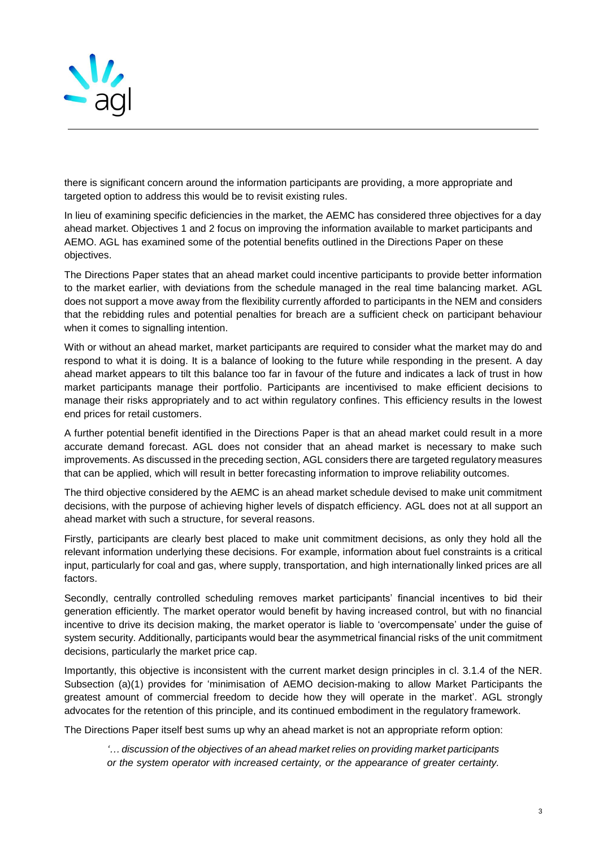

there is significant concern around the information participants are providing, a more appropriate and targeted option to address this would be to revisit existing rules.

In lieu of examining specific deficiencies in the market, the AEMC has considered three objectives for a day ahead market. Objectives 1 and 2 focus on improving the information available to market participants and AEMO. AGL has examined some of the potential benefits outlined in the Directions Paper on these objectives.

The Directions Paper states that an ahead market could incentive participants to provide better information to the market earlier, with deviations from the schedule managed in the real time balancing market. AGL does not support a move away from the flexibility currently afforded to participants in the NEM and considers that the rebidding rules and potential penalties for breach are a sufficient check on participant behaviour when it comes to signalling intention.

With or without an ahead market, market participants are required to consider what the market may do and respond to what it is doing. It is a balance of looking to the future while responding in the present. A day ahead market appears to tilt this balance too far in favour of the future and indicates a lack of trust in how market participants manage their portfolio. Participants are incentivised to make efficient decisions to manage their risks appropriately and to act within regulatory confines. This efficiency results in the lowest end prices for retail customers.

A further potential benefit identified in the Directions Paper is that an ahead market could result in a more accurate demand forecast. AGL does not consider that an ahead market is necessary to make such improvements. As discussed in the preceding section, AGL considers there are targeted regulatory measures that can be applied, which will result in better forecasting information to improve reliability outcomes.

The third objective considered by the AEMC is an ahead market schedule devised to make unit commitment decisions, with the purpose of achieving higher levels of dispatch efficiency. AGL does not at all support an ahead market with such a structure, for several reasons.

Firstly, participants are clearly best placed to make unit commitment decisions, as only they hold all the relevant information underlying these decisions. For example, information about fuel constraints is a critical input, particularly for coal and gas, where supply, transportation, and high internationally linked prices are all factors.

Secondly, centrally controlled scheduling removes market participants' financial incentives to bid their generation efficiently. The market operator would benefit by having increased control, but with no financial incentive to drive its decision making, the market operator is liable to 'overcompensate' under the guise of system security. Additionally, participants would bear the asymmetrical financial risks of the unit commitment decisions, particularly the market price cap.

Importantly, this objective is inconsistent with the current market design principles in cl. 3.1.4 of the NER. Subsection (a)(1) provides for 'minimisation of AEMO decision-making to allow Market Participants the greatest amount of commercial freedom to decide how they will operate in the market'. AGL strongly advocates for the retention of this principle, and its continued embodiment in the regulatory framework.

The Directions Paper itself best sums up why an ahead market is not an appropriate reform option:

*'… discussion of the objectives of an ahead market relies on providing market participants or the system operator with increased certainty, or the appearance of greater certainty.*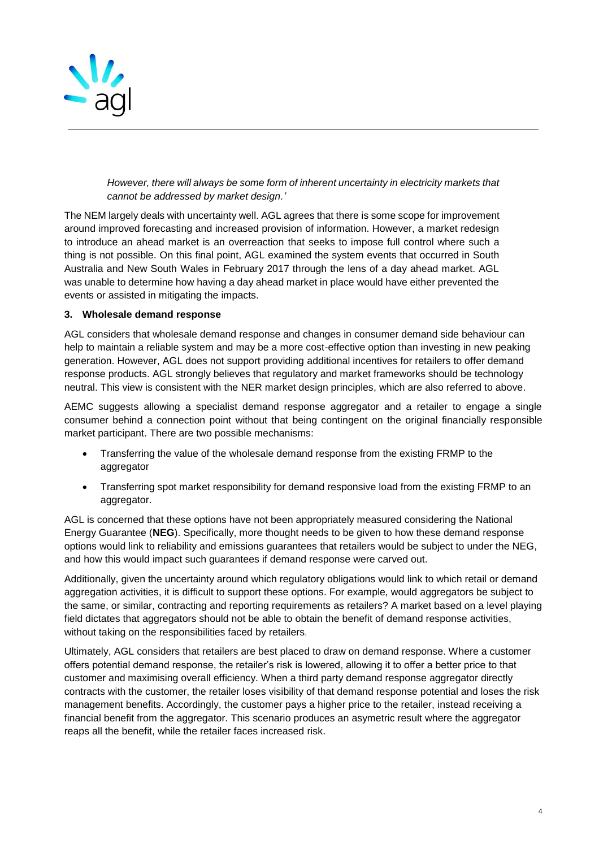

# *However, there will always be some form of inherent uncertainty in electricity markets that cannot be addressed by market design.'*

The NEM largely deals with uncertainty well. AGL agrees that there is some scope for improvement around improved forecasting and increased provision of information. However, a market redesign to introduce an ahead market is an overreaction that seeks to impose full control where such a thing is not possible. On this final point, AGL examined the system events that occurred in South Australia and New South Wales in February 2017 through the lens of a day ahead market. AGL was unable to determine how having a day ahead market in place would have either prevented the events or assisted in mitigating the impacts.

# **3. Wholesale demand response**

AGL considers that wholesale demand response and changes in consumer demand side behaviour can help to maintain a reliable system and may be a more cost-effective option than investing in new peaking generation. However, AGL does not support providing additional incentives for retailers to offer demand response products. AGL strongly believes that regulatory and market frameworks should be technology neutral. This view is consistent with the NER market design principles, which are also referred to above.

AEMC suggests allowing a specialist demand response aggregator and a retailer to engage a single consumer behind a connection point without that being contingent on the original financially responsible market participant. There are two possible mechanisms:

- Transferring the value of the wholesale demand response from the existing FRMP to the aggregator
- Transferring spot market responsibility for demand responsive load from the existing FRMP to an aggregator.

AGL is concerned that these options have not been appropriately measured considering the National Energy Guarantee (**NEG**). Specifically, more thought needs to be given to how these demand response options would link to reliability and emissions guarantees that retailers would be subject to under the NEG, and how this would impact such guarantees if demand response were carved out.

Additionally, given the uncertainty around which regulatory obligations would link to which retail or demand aggregation activities, it is difficult to support these options. For example, would aggregators be subject to the same, or similar, contracting and reporting requirements as retailers? A market based on a level playing field dictates that aggregators should not be able to obtain the benefit of demand response activities, without taking on the responsibilities faced by retailers.

Ultimately, AGL considers that retailers are best placed to draw on demand response. Where a customer offers potential demand response, the retailer's risk is lowered, allowing it to offer a better price to that customer and maximising overall efficiency. When a third party demand response aggregator directly contracts with the customer, the retailer loses visibility of that demand response potential and loses the risk management benefits. Accordingly, the customer pays a higher price to the retailer, instead receiving a financial benefit from the aggregator. This scenario produces an asymetric result where the aggregator reaps all the benefit, while the retailer faces increased risk.